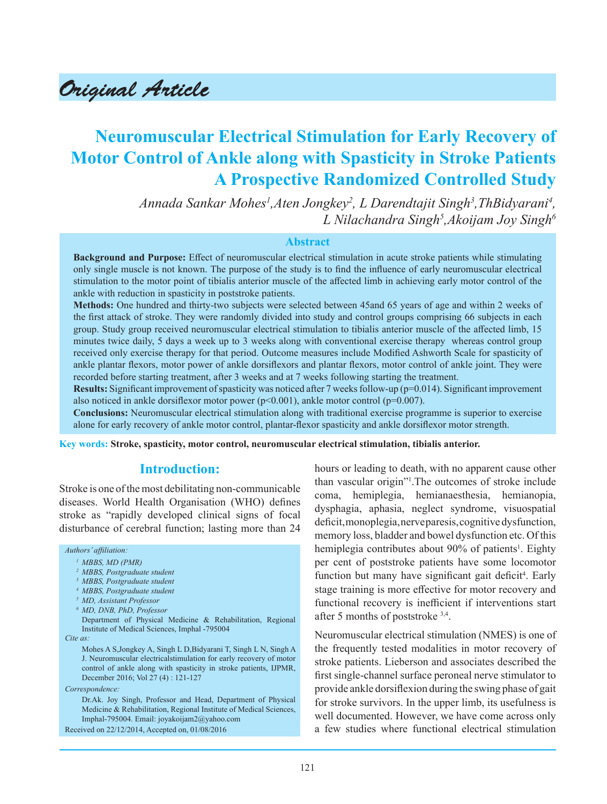# Original Article

# **Neuromuscular Electrical Stimulation for Early Recovery of Motor Control of Ankle along with Spasticity in Stroke Patients A Prospective Randomized Controlled Study**

Annada Sankar Mohes<sup>1</sup>,Aten Jongkey<sup>2</sup>, L Darendtajit Singh<sup>3</sup>,ThBidyarani<sup>4</sup>, *L Nilachandra Singh5 ,Akoijam Joy Singh6*

### **Abstract**

**Background and Purpose:** Effect of neuromuscular electrical stimulation in acute stroke patients while stimulating only single muscle is not known. The purpose of the study is to find the influence of early neuromuscular electrical stimulation to the motor point of tibialis anterior muscle of the affected limb in achieving early motor control of the ankle with reduction in spasticity in poststroke patients.

**Methods:** One hundred and thirty-two subjects were selected between 45and 65 years of age and within 2 weeks of the first attack of stroke. They were randomly divided into study and control groups comprising 66 subjects in each group. Study group received neuromuscular electrical stimulation to tibialis anterior muscle of the affected limb, 15 minutes twice daily, 5 days a week up to 3 weeks along with conventional exercise therapy whereas control group received only exercise therapy for that period. Outcome measures include Modified Ashworth Scale for spasticity of ankle plantar flexors, motor power of ankle dorsiflexors and plantar flexors, motor control of ankle joint. They were recorded before starting treatment, after 3 weeks and at 7 weeks following starting the treatment.

**Results:** Significant improvement of spasticity was noticed after 7 weeks follow-up (p=0.014). Significant improvement also noticed in ankle dorsiflexor motor power ( $p<0.001$ ), ankle motor control ( $p=0.007$ ).

**Conclusions:** Neuromuscular electrical stimulation along with traditional exercise programme is superior to exercise alone for early recovery of ankle motor control, plantar-flexor spasticity and ankle dorsiflexor motor strength.

**Key words: Stroke, spasticity, motor control, neuromuscular electrical stimulation, tibialis anterior.**

# **Introduction:**

Stroke is one of the most debilitating non-communicable diseases. World Health Organisation (WHO) defines stroke as "rapidly developed clinical signs of focal disturbance of cerebral function; lasting more than 24

#### *Authors' affiliation:*

*1 MBBS, MD (PMR)* 

- *2 MBBS, Postgraduate student*
- *3 MBBS, Postgraduate student*
- *4 MBBS, Postgraduate student*
- *5 MD, Assistant Professor*
- *6 MD, DNB, PhD, Professor*

Department of Physical Medicine & Rehabilitation, Regional Institute of Medical Sciences, Imphal -795004

*Cite as:*

Mohes A S,Jongkey A, Singh L D,Bidyarani T, Singh L N, Singh A J. Neuromuscular electricalstimulation for early recovery of motor control of ankle along with spasticity in stroke patients, IJPMR, December 2016; Vol 27 (4) : 121-127

*Correspondence:*

Dr.Ak. Joy Singh, Professor and Head, Department of Physical Medicine & Rehabilitation, Regional Institute of Medical Sciences, Imphal-795004. Email: joyakoijam2@yahoo.com

Received on 22/12/2014, Accepted on, 01/08/2016

hours or leading to death, with no apparent cause other than vascular origin"1 .The outcomes of stroke include coma, hemiplegia, hemianaesthesia, hemianopia, dysphagia, aphasia, neglect syndrome, visuospatial deficit, monoplegia, nerve paresis, cognitive dysfunction, memory loss, bladder and bowel dysfunction etc. Of this hemiplegia contributes about 90% of patients<sup>1</sup>. Eighty per cent of poststroke patients have some locomotor function but many have significant gait deficit<sup>4</sup>. Early stage training is more effective for motor recovery and functional recovery is inefficient if interventions start after 5 months of poststroke 3,4.

Neuromuscular electrical stimulation (NMES) is one of the frequently tested modalities in motor recovery of stroke patients. Lieberson and associates described the first single-channel surface peroneal nerve stimulator to provide ankle dorsiflexion during the swing phase of gait for stroke survivors. In the upper limb, its usefulness is well documented. However, we have come across only a few studies where functional electrical stimulation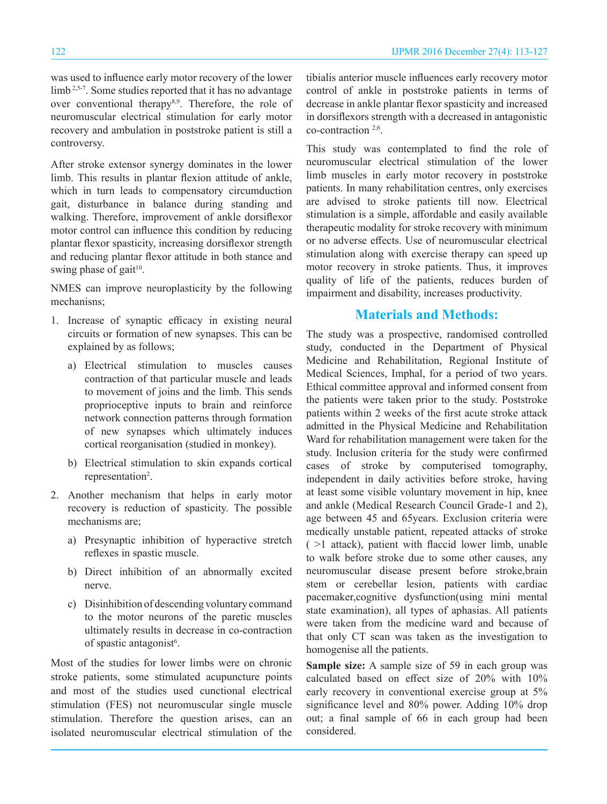was used to influence early motor recovery of the lower limb<sup>2,5-7</sup>. Some studies reported that it has no advantage over conventional therapy<sup>8,9</sup>. Therefore, the role of neuromuscular electrical stimulation for early motor recovery and ambulation in poststroke patient is still a controversy.

After stroke extensor synergy dominates in the lower limb. This results in plantar flexion attitude of ankle, which in turn leads to compensatory circumduction gait, disturbance in balance during standing and walking. Therefore, improvement of ankle dorsiflexor motor control can influence this condition by reducing plantar flexor spasticity, increasing dorsiflexor strength and reducing plantar flexor attitude in both stance and swing phase of gait $10$ .

NMES can improve neuroplasticity by the following mechanisns;

- 1. Increase of synaptic efficacy in existing neural circuits or formation of new synapses. This can be explained by as follows;
	- a) Electrical stimulation to muscles causes contraction of that particular muscle and leads to movement of joins and the limb. This sends proprioceptive inputs to brain and reinforce network connection patterns through formation of new synapses which ultimately induces cortical reorganisation (studied in monkey).
	- b) Electrical stimulation to skin expands cortical representation<sup>2</sup>.
- 2. Another mechanism that helps in early motor recovery is reduction of spasticity. The possible mechanisms are;
	- a) Presynaptic inhibition of hyperactive stretch reflexes in spastic muscle.
	- b) Direct inhibition of an abnormally excited nerve.
	- c) Disinhibition of descending voluntary command to the motor neurons of the paretic muscles ultimately results in decrease in co-contraction of spastic antagonist<sup>6</sup>.

Most of the studies for lower limbs were on chronic stroke patients, some stimulated acupuncture points and most of the studies used cunctional electrical stimulation (FES) not neuromuscular single muscle stimulation. Therefore the question arises, can an isolated neuromuscular electrical stimulation of the tibialis anterior muscle influences early recovery motor control of ankle in poststroke patients in terms of decrease in ankle plantar flexor spasticity and increased in dorsiflexors strength with a decreased in antagonistic co-contraction 2,6.

This study was contemplated to find the role of neuromuscular electrical stimulation of the lower limb muscles in early motor recovery in poststroke patients. In many rehabilitation centres, only exercises are advised to stroke patients till now. Electrical stimulation is a simple, affordable and easily available therapeutic modality for stroke recovery with minimum or no adverse effects. Use of neuromuscular electrical stimulation along with exercise therapy can speed up motor recovery in stroke patients. Thus, it improves quality of life of the patients, reduces burden of impairment and disability, increases productivity.

# **Materials and Methods:**

The study was a prospective, randomised controlled study, conducted in the Department of Physical Medicine and Rehabilitation, Regional Institute of Medical Sciences, Imphal, for a period of two years. Ethical committee approval and informed consent from the patients were taken prior to the study. Poststroke patients within 2 weeks of the first acute stroke attack admitted in the Physical Medicine and Rehabilitation Ward for rehabilitation management were taken for the study. Inclusion criteria for the study were confirmed cases of stroke by computerised tomography, independent in daily activities before stroke, having at least some visible voluntary movement in hip, knee and ankle (Medical Research Council Grade-1 and 2), age between 45 and 65years. Exclusion criteria were medically unstable patient, repeated attacks of stroke  $($  >1 attack), patient with flaccid lower limb, unable to walk before stroke due to some other causes, any neuromuscular disease present before stroke,brain stem or cerebellar lesion, patients with cardiac pacemaker,cognitive dysfunction(using mini mental state examination), all types of aphasias. All patients were taken from the medicine ward and because of that only CT scan was taken as the investigation to homogenise all the patients.

**Sample size:** A sample size of 59 in each group was calculated based on effect size of 20% with 10% early recovery in conventional exercise group at 5% significance level and 80% power. Adding 10% drop out; a final sample of 66 in each group had been considered.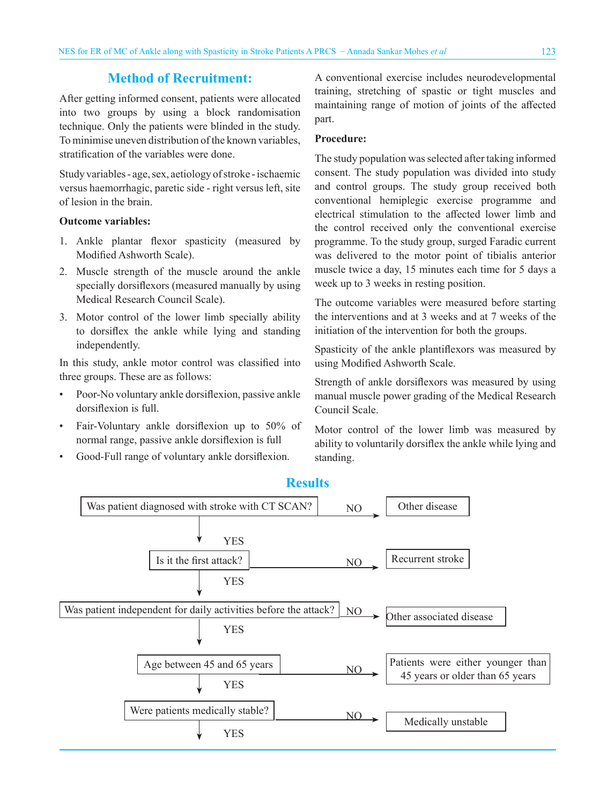# **Method of Recruitment:**

After getting informed consent, patients were allocated into two groups by using a block randomisation technique. Only the patients were blinded in the study. To minimise uneven distribution of the known variables, stratification of the variables were done.

Study variables - age, sex, aetiology of stroke - ischaemic versus haemorrhagic, paretic side - right versus left, site of lesion in the brain.

### **Outcome variables:**

- 1. Ankle plantar flexor spasticity (measured by Modified Ashworth Scale).
- 2. Muscle strength of the muscle around the ankle specially dorsiflexors (measured manually by using Medical Research Council Scale).
- 3. Motor control of the lower limb specially ability to dorsiflex the ankle while lying and standing independently.

In this study, ankle motor control was classified into three groups. These are as follows:

- Poor-No voluntary ankle dorsiflexion, passive ankle dorsiflexion is full.
- Fair-Voluntary ankle dorsiflexion up to 50% of normal range, passive ankle dorsiflexion is full
- Good-Full range of voluntary ankle dorsiflexion.

A conventional exercise includes neurodevelopmental training, stretching of spastic or tight muscles and maintaining range of motion of joints of the affected part.

### **Procedure:**

The study population was selected after taking informed consent. The study population was divided into study and control groups. The study group received both conventional hemiplegic exercise programme and electrical stimulation to the affected lower limb and the control received only the conventional exercise programme. To the study group, surged Faradic current was delivered to the motor point of tibialis anterior muscle twice a day, 15 minutes each time for 5 days a week up to 3 weeks in resting position.

The outcome variables were measured before starting the interventions and at 3 weeks and at 7 weeks of the initiation of the intervention for both the groups.

Spasticity of the ankle plantiflexors was measured by using Modified Ashworth Scale.

Strength of ankle dorsiflexors was measured by using manual muscle power grading of the Medical Research Council Scale.

Motor control of the lower limb was measured by ability to voluntarily dorsiflex the ankle while lying and standing.



## **Results**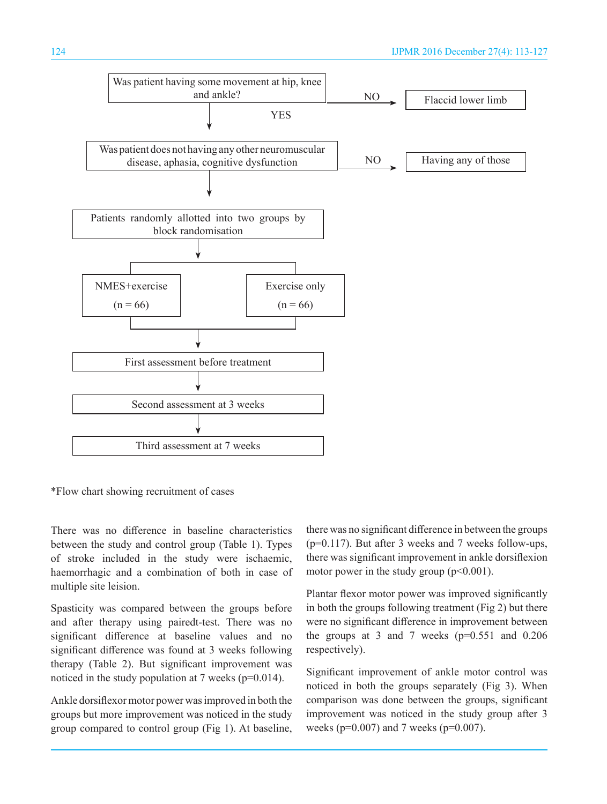

\*Flow chart showing recruitment of cases

There was no difference in baseline characteristics between the study and control group (Table 1). Types of stroke included in the study were ischaemic, haemorrhagic and a combination of both in case of multiple site leision.

Spasticity was compared between the groups before and after therapy using pairedt-test. There was no significant difference at baseline values and no significant difference was found at 3 weeks following therapy (Table 2). But significant improvement was noticed in the study population at 7 weeks ( $p=0.014$ ).

Ankle dorsiflexor motor power was improved in both the groups but more improvement was noticed in the study group compared to control group (Fig 1). At baseline, there was no significant difference in between the groups (p=0.117). But after 3 weeks and 7 weeks follow-ups, there was significant improvement in ankle dorsiflexion motor power in the study group  $(p<0.001)$ .

Plantar flexor motor power was improved significantly in both the groups following treatment (Fig 2) but there were no significant difference in improvement between the groups at 3 and 7 weeks  $(p=0.551$  and  $0.206$ respectively).

Significant improvement of ankle motor control was noticed in both the groups separately (Fig 3). When comparison was done between the groups, significant improvement was noticed in the study group after 3 weeks (p=0.007) and 7 weeks (p=0.007).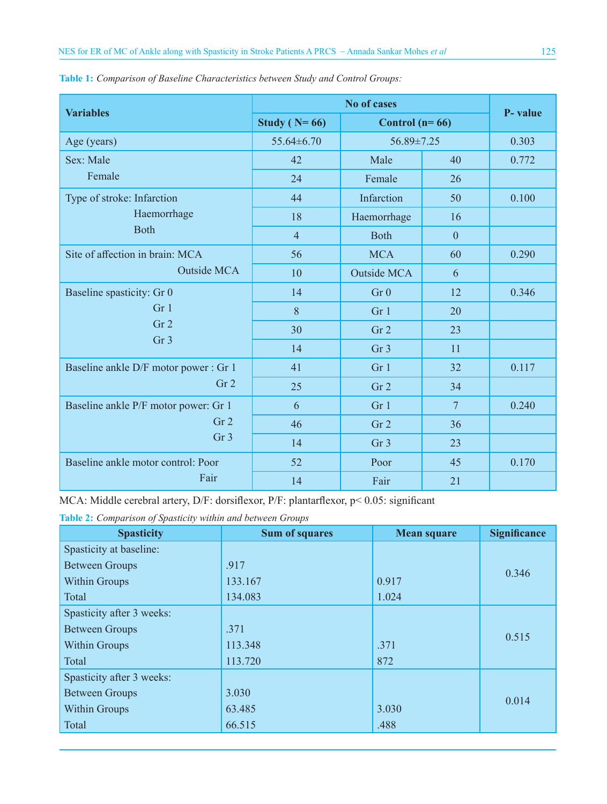| <b>Variables</b>                                                                   | <b>No of cases</b> |                    |                  | P- value |
|------------------------------------------------------------------------------------|--------------------|--------------------|------------------|----------|
|                                                                                    | Study ( $N=66$ )   | Control $(n=66)$   |                  |          |
| Age (years)                                                                        | 55.64±6.70         |                    | $56.89 \pm 7.25$ |          |
| Sex: Male<br>Female                                                                | 42                 | Male               | 40               | 0.772    |
|                                                                                    | 24                 | Female             | 26               |          |
| Type of stroke: Infarction<br>Haemorrhage<br><b>Both</b>                           | 44                 | Infarction         | 50               | 0.100    |
|                                                                                    | 18                 | Haemorrhage        | 16               |          |
|                                                                                    | $\overline{4}$     | <b>Both</b>        | $\mathbf{0}$     |          |
| Site of affection in brain: MCA<br><b>Outside MCA</b>                              | 56                 | <b>MCA</b>         | 60               | 0.290    |
|                                                                                    | 10                 | <b>Outside MCA</b> | 6                |          |
| Baseline spasticity: Gr 0<br>Gr <sub>1</sub><br>Gr <sub>2</sub><br>Gr <sub>3</sub> | 14                 | Gr <sub>0</sub>    | 12               | 0.346    |
|                                                                                    | 8                  | Gr 1               | 20               |          |
|                                                                                    | 30                 | Gr <sub>2</sub>    | 23               |          |
|                                                                                    | 14                 | Gr <sub>3</sub>    | 11               |          |
| Baseline ankle D/F motor power : Gr 1<br>Gr <sub>2</sub>                           | 41                 | Gr <sub>1</sub>    | 32               | 0.117    |
|                                                                                    | 25                 | Gr <sub>2</sub>    | 34               |          |
| Baseline ankle P/F motor power: Gr 1<br>Gr <sub>2</sub><br>Gr <sub>3</sub>         | 6                  | Gr 1               | $\overline{7}$   | 0.240    |
|                                                                                    | 46                 | Gr <sub>2</sub>    | 36               |          |
|                                                                                    | 14                 | Gr <sub>3</sub>    | 23               |          |
| Baseline ankle motor control: Poor<br>Fair                                         | 52                 | Poor               | 45               | 0.170    |
|                                                                                    | 14                 | Fair               | 21               |          |

**Table 1:** *Comparison of Baseline Characteristics between Study and Control Groups:*

MCA: Middle cerebral artery, D/F: dorsiflexor, P/F: plantarflexor, p< 0.05: significant

**Table 2:** *Comparison of Spasticity within and between Groups*

| <b>Spasticity</b>         | <b>Sum of squares</b> | <b>Mean square</b> | <b>Significance</b> |  |
|---------------------------|-----------------------|--------------------|---------------------|--|
| Spasticity at baseline:   |                       |                    |                     |  |
| <b>Between Groups</b>     | .917                  |                    | 0.346               |  |
| <b>Within Groups</b>      | 133.167               | 0.917              |                     |  |
| Total                     | 134.083               | 1.024              |                     |  |
| Spasticity after 3 weeks: |                       |                    |                     |  |
| <b>Between Groups</b>     | .371                  |                    | 0.515               |  |
| <b>Within Groups</b>      | 113.348               | .371               |                     |  |
| Total                     | 113.720               | 872                |                     |  |
| Spasticity after 3 weeks: |                       |                    |                     |  |
| <b>Between Groups</b>     | 3.030                 |                    | 0.014               |  |
| <b>Within Groups</b>      | 63.485                | 3.030              |                     |  |
| Total                     | 66.515                | .488               |                     |  |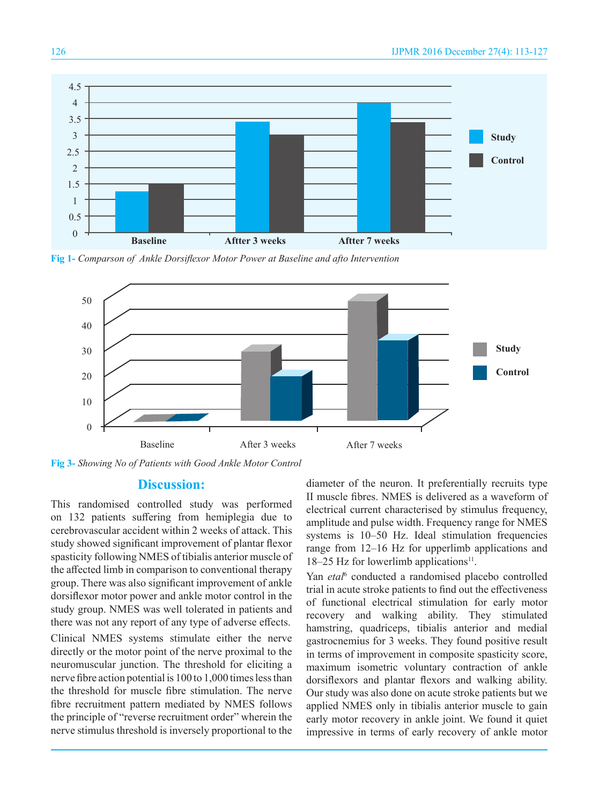

**Fig 1-** *Comparson of Ankle Dorsiflexor Motor Power at Baseline and afto Intervention*



**Fig 3-** *Showing No of Patients with Good Ankle Motor Control*

### **Discussion:**

This randomised controlled study was performed on 132 patients suffering from hemiplegia due to cerebrovascular accident within 2 weeks of attack. This study showed significant improvement of plantar flexor spasticity following NMES of tibialis anterior muscle of the affected limb in comparison to conventional therapy group. There was also significant improvement of ankle dorsiflexor motor power and ankle motor control in the study group. NMES was well tolerated in patients and there was not any report of any type of adverse effects.

Clinical NMES systems stimulate either the nerve directly or the motor point of the nerve proximal to the neuromuscular junction. The threshold for eliciting a nerve fibre action potential is 100 to 1,000 times less than the threshold for muscle fibre stimulation. The nerve fibre recruitment pattern mediated by NMES follows the principle of "reverse recruitment order" wherein the nerve stimulus threshold is inversely proportional to the diameter of the neuron. It preferentially recruits type II muscle fibres. NMES is delivered as a waveform of electrical current characterised by stimulus frequency, amplitude and pulse width. Frequency range for NMES systems is 10–50 Hz. Ideal stimulation frequencies range from 12–16 Hz for upperlimb applications and  $18-25$  Hz for lowerlimb applications<sup>11</sup>.

Yan etal<sup>6</sup> conducted a randomised placebo controlled trial in acute stroke patients to find out the effectiveness of functional electrical stimulation for early motor recovery and walking ability. They stimulated hamstring, quadriceps, tibialis anterior and medial gastrocnemius for 3 weeks. They found positive result in terms of improvement in composite spasticity score, maximum isometric voluntary contraction of ankle dorsiflexors and plantar flexors and walking ability. Our study was also done on acute stroke patients but we applied NMES only in tibialis anterior muscle to gain early motor recovery in ankle joint. We found it quiet impressive in terms of early recovery of ankle motor